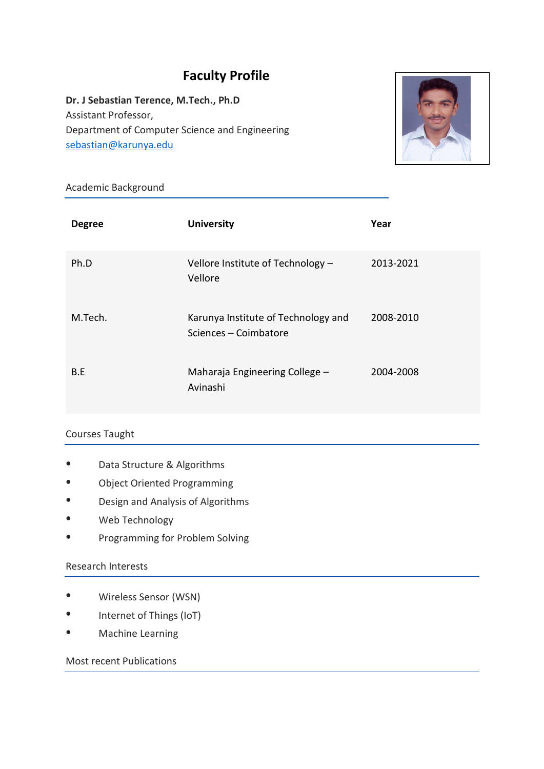# **Faculty Profile**

**Dr. J Sebastian Terence, M.Tech., Ph.D** Assistant Professor, Department of Computer Science and Engineering [sebastian@karunya.edu](mailto:sebastian@karunya.edu)



### Academic Background

| <b>Degree</b> | <b>University</b>                                            | Year      |
|---------------|--------------------------------------------------------------|-----------|
| Ph.D          | Vellore Institute of Technology -<br>Vellore                 | 2013-2021 |
| M.Tech.       | Karunya Institute of Technology and<br>Sciences - Coimbatore | 2008-2010 |
| B.E           | Maharaja Engineering College -<br>Avinashi                   | 2004-2008 |

## Courses Taught

- Data Structure & Algorithms
- **Object Oriented Programming**
- Design and Analysis of Algorithms
- Web Technology
- Programming for Problem Solving

### Research Interests

- Wireless Sensor (WSN)
- Internet of Things (IoT)
- Machine Learning

### Most recent Publications